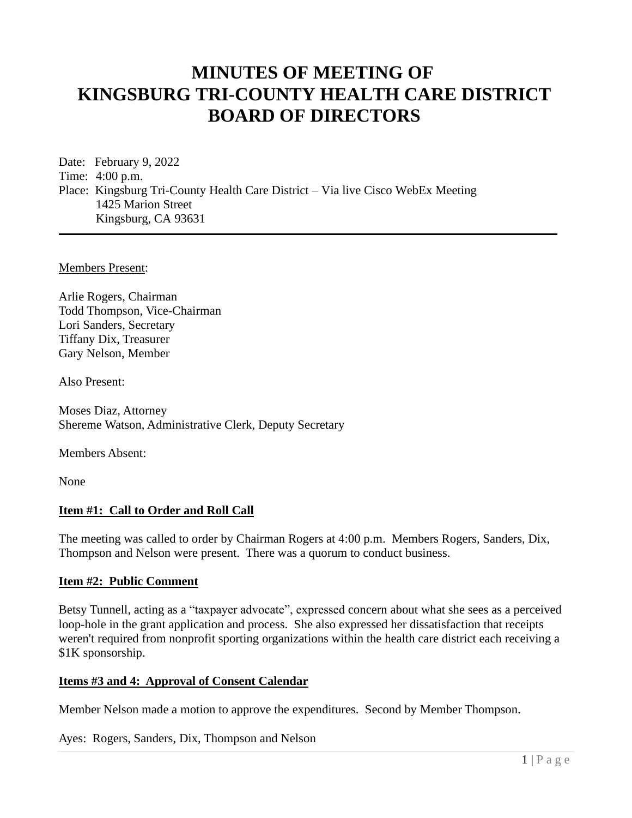# **MINUTES OF MEETING OF KINGSBURG TRI-COUNTY HEALTH CARE DISTRICT BOARD OF DIRECTORS**

Date: February 9, 2022 Time: 4:00 p.m. Place: Kingsburg Tri-County Health Care District – Via live Cisco WebEx Meeting 1425 Marion Street Kingsburg, CA 93631

Members Present:

Arlie Rogers, Chairman Todd Thompson, Vice-Chairman Lori Sanders, Secretary Tiffany Dix, Treasurer Gary Nelson, Member

Also Present:

Moses Diaz, Attorney Shereme Watson, Administrative Clerk, Deputy Secretary

Members Absent:

None

#### **Item #1: Call to Order and Roll Call**

The meeting was called to order by Chairman Rogers at 4:00 p.m. Members Rogers, Sanders, Dix, Thompson and Nelson were present. There was a quorum to conduct business.

#### **Item #2: Public Comment**

Betsy Tunnell, acting as a "taxpayer advocate", expressed concern about what she sees as a perceived loop-hole in the grant application and process. She also expressed her dissatisfaction that receipts weren't required from nonprofit sporting organizations within the health care district each receiving a \$1K sponsorship.

#### **Items #3 and 4: Approval of Consent Calendar**

Member Nelson made a motion to approve the expenditures. Second by Member Thompson.

Ayes: Rogers, Sanders, Dix, Thompson and Nelson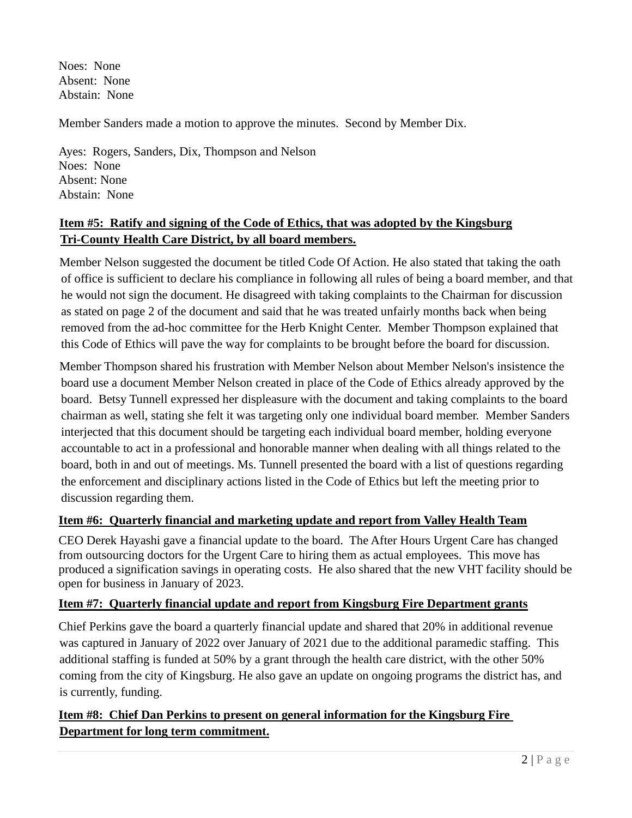Noes: None Absent: None Abstain: None

Member Sanders made a motion to approve the minutes. Second by Member Dix.

Ayes: Rogers, Sanders, Dix, Thompson and Nelson Noes: None Absent: None Abstain: None

# **Item #5: Ratify and signing of the Code of Ethics, that was adopted by the Kingsburg Tri-County Health Care District, by all board members.**

Member Nelson suggested the document be titled Code Of Action. He also stated that taking the oath of office is sufficient to declare his compliance in following all rules of being a board member, and that he would not sign the document. He disagreed with taking complaints to the Chairman for discussion as stated on page 2 of the document and said that he was treated unfairly months back when being removed from the ad-hoc committee for the Herb Knight Center. Member Thompson explained that this Code of Ethics will pave the way for complaints to be brought before the board for discussion.

Member Thompson shared his frustration with Member Nelson about Member Nelson's insistence the board use a document Member Nelson created in place of the Code of Ethics already approved by the board. Betsy Tunnell expressed her displeasure with the document and taking complaints to the board chairman as well, stating she felt it was targeting only one individual board member. Member Sanders interjected that this document should be targeting each individual board member, holding everyone accountable to act in a professional and honorable manner when dealing with all things related to the board, both in and out of meetings. Ms. Tunnell presented the board with a list of questions regarding the enforcement and disciplinary actions listed in the Code of Ethics but left the meeting prior to discussion regarding them.

### **Item #6: Quarterly financial and marketing update and report from Valley Health Team**

CEO Derek Hayashi gave a financial update to the board. The After Hours Urgent Care has changed from outsourcing doctors for the Urgent Care to hiring them as actual employees. This move has produced a signification savings in operating costs. He also shared that the new VHT facility should be open for business in January of 2023.

### **Item #7: Quarterly financial update and report from Kingsburg Fire Department grants**

Chief Perkins gave the board a quarterly financial update and shared that 20% in additional revenue was captured in January of 2022 over January of 2021 due to the additional paramedic staffing. This additional staffing is funded at 50% by a grant through the health care district, with the other 50% coming from the city of Kingsburg. He also gave an update on ongoing programs the district has, and is currently, funding.

# **Item #8: Chief Dan Perkins to present on general information for the Kingsburg Fire Department for long term commitment.**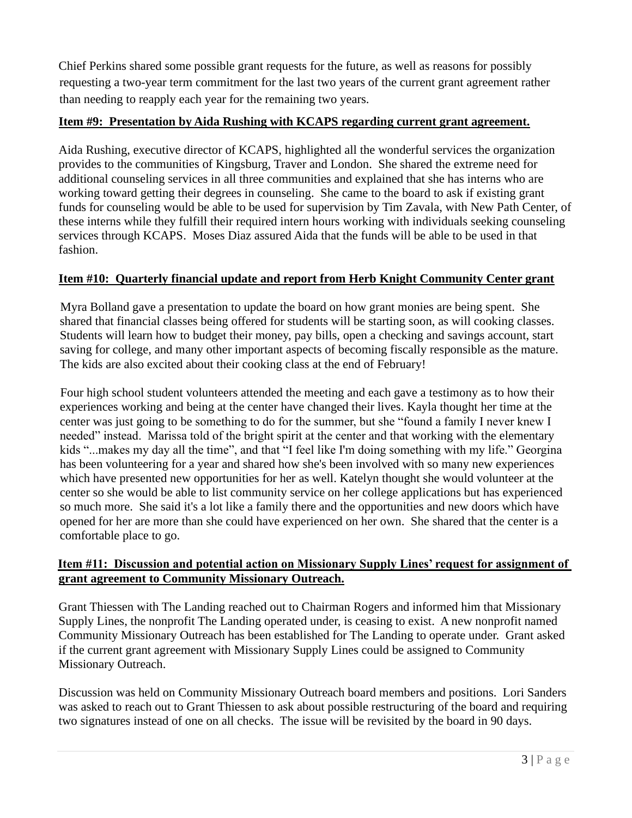Chief Perkins shared some possible grant requests for the future, as well as reasons for possibly requesting a two-year term commitment for the last two years of the current grant agreement rather than needing to reapply each year for the remaining two years.

## **Item #9: Presentation by Aida Rushing with KCAPS regarding current grant agreement.**

Aida Rushing, executive director of KCAPS, highlighted all the wonderful services the organization provides to the communities of Kingsburg, Traver and London. She shared the extreme need for additional counseling services in all three communities and explained that she has interns who are working toward getting their degrees in counseling. She came to the board to ask if existing grant funds for counseling would be able to be used for supervision by Tim Zavala, with New Path Center, of these interns while they fulfill their required intern hours working with individuals seeking counseling services through KCAPS. Moses Diaz assured Aida that the funds will be able to be used in that fashion.

## **Item #10: Quarterly financial update and report from Herb Knight Community Center grant**

Myra Bolland gave a presentation to update the board on how grant monies are being spent. She shared that financial classes being offered for students will be starting soon, as will cooking classes. Students will learn how to budget their money, pay bills, open a checking and savings account, start saving for college, and many other important aspects of becoming fiscally responsible as the mature. The kids are also excited about their cooking class at the end of February!

Four high school student volunteers attended the meeting and each gave a testimony as to how their experiences working and being at the center have changed their lives. Kayla thought her time at the center was just going to be something to do for the summer, but she "found a family I never knew I needed" instead. Marissa told of the bright spirit at the center and that working with the elementary kids "...makes my day all the time", and that "I feel like I'm doing something with my life." Georgina has been volunteering for a year and shared how she's been involved with so many new experiences which have presented new opportunities for her as well. Katelyn thought she would volunteer at the center so she would be able to list community service on her college applications but has experienced so much more. She said it's a lot like a family there and the opportunities and new doors which have opened for her are more than she could have experienced on her own. She shared that the center is a comfortable place to go.

### **Item #11: Discussion and potential action on Missionary Supply Lines' request for assignment of grant agreement to Community Missionary Outreach.**

Grant Thiessen with The Landing reached out to Chairman Rogers and informed him that Missionary Supply Lines, the nonprofit The Landing operated under, is ceasing to exist. A new nonprofit named Community Missionary Outreach has been established for The Landing to operate under. Grant asked if the current grant agreement with Missionary Supply Lines could be assigned to Community Missionary Outreach.

Discussion was held on Community Missionary Outreach board members and positions. Lori Sanders was asked to reach out to Grant Thiessen to ask about possible restructuring of the board and requiring two signatures instead of one on all checks. The issue will be revisited by the board in 90 days.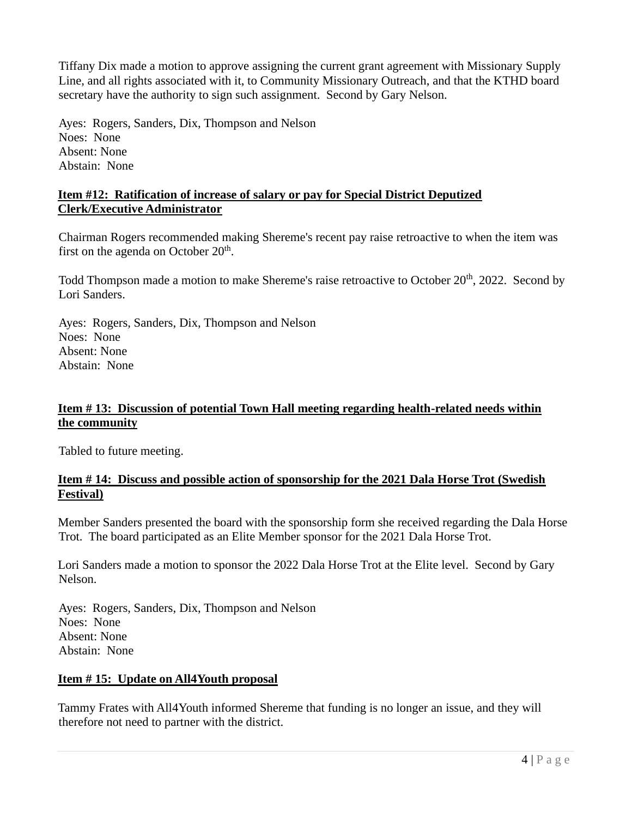Tiffany Dix made a motion to approve assigning the current grant agreement with Missionary Supply Line, and all rights associated with it, to Community Missionary Outreach, and that the KTHD board secretary have the authority to sign such assignment. Second by Gary Nelson.

Ayes: Rogers, Sanders, Dix, Thompson and Nelson Noes: None Absent: None Abstain: None

#### **Item #12: Ratification of increase of salary or pay for Special District Deputized Clerk/Executive Administrator**

Chairman Rogers recommended making Shereme's recent pay raise retroactive to when the item was first on the agenda on October  $20<sup>th</sup>$ .

Todd Thompson made a motion to make Shereme's raise retroactive to October 20<sup>th</sup>, 2022. Second by Lori Sanders.

Ayes: Rogers, Sanders, Dix, Thompson and Nelson Noes: None Absent: None Abstain: None

### **Item # 13: Discussion of potential Town Hall meeting regarding health-related needs within the community**

Tabled to future meeting.

### **Item # 14: Discuss and possible action of sponsorship for the 2021 Dala Horse Trot (Swedish Festival)**

Member Sanders presented the board with the sponsorship form she received regarding the Dala Horse Trot. The board participated as an Elite Member sponsor for the 2021 Dala Horse Trot.

Lori Sanders made a motion to sponsor the 2022 Dala Horse Trot at the Elite level. Second by Gary Nelson.

Ayes: Rogers, Sanders, Dix, Thompson and Nelson Noes: None Absent: None Abstain: None

### **Item # 15: Update on All4Youth proposal**

Tammy Frates with All4Youth informed Shereme that funding is no longer an issue, and they will therefore not need to partner with the district.